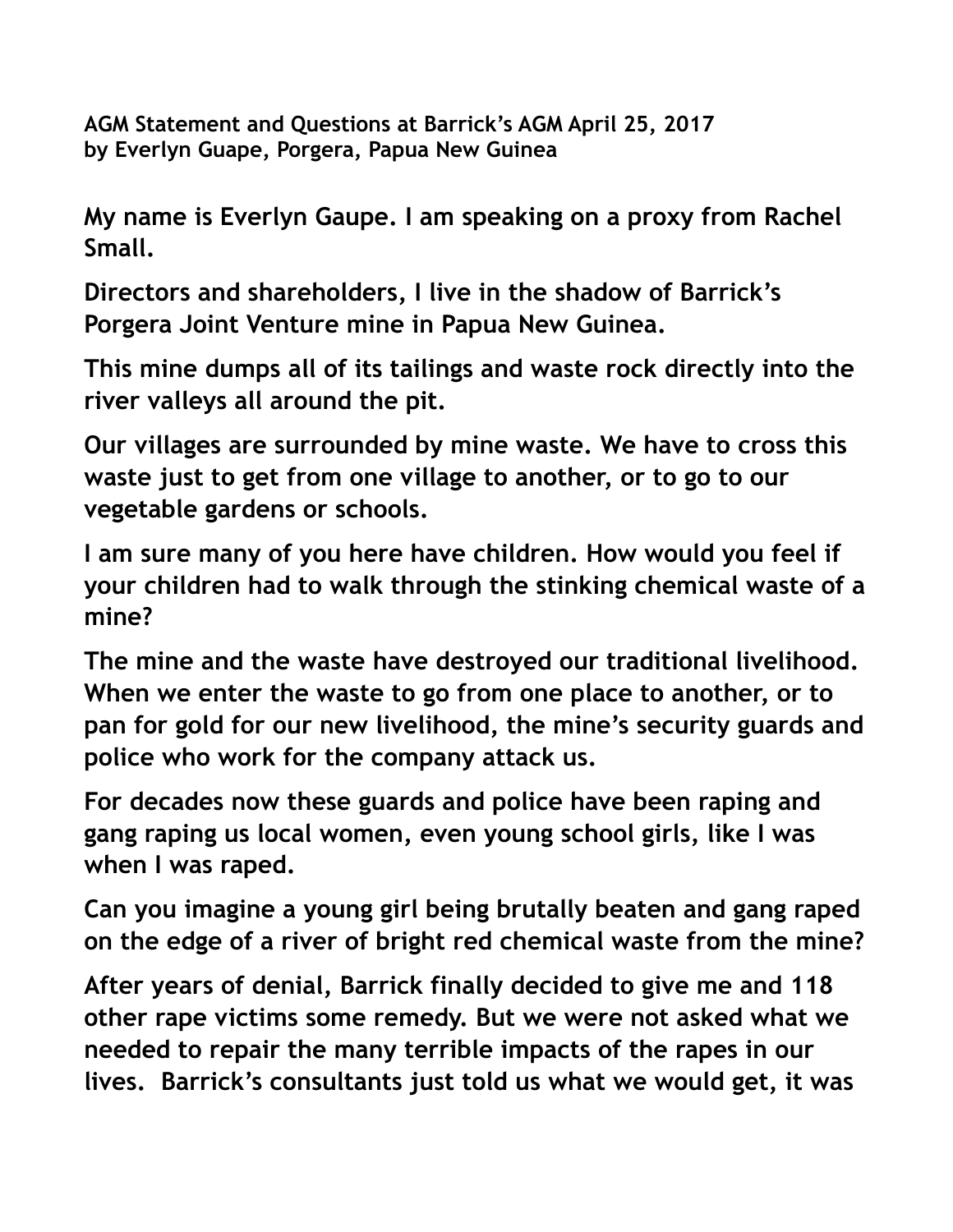**AGM Statement and Questions at Barrick's AGM April 25, 2017 by Everlyn Guape, Porgera, Papua New Guinea**

**My name is Everlyn Gaupe. I am speaking on a proxy from Rachel Small.**

**Directors and shareholders, I live in the shadow of Barrick's Porgera Joint Venture mine in Papua New Guinea.** 

**This mine dumps all of its tailings and waste rock directly into the river valleys all around the pit.** 

**Our villages are surrounded by mine waste. We have to cross this waste just to get from one village to another, or to go to our vegetable gardens or schools.** 

**I am sure many of you here have children. How would you feel if your children had to walk through the stinking chemical waste of a mine?**

**The mine and the waste have destroyed our traditional livelihood. When we enter the waste to go from one place to another, or to pan for gold for our new livelihood, the mine's security guards and police who work for the company attack us.** 

**For decades now these guards and police have been raping and gang raping us local women, even young school girls, like I was when I was raped.** 

**Can you imagine a young girl being brutally beaten and gang raped on the edge of a river of bright red chemical waste from the mine?** 

**After years of denial, Barrick finally decided to give me and 118 other rape victims some remedy. But we were not asked what we needed to repair the many terrible impacts of the rapes in our lives. Barrick's consultants just told us what we would get, it was**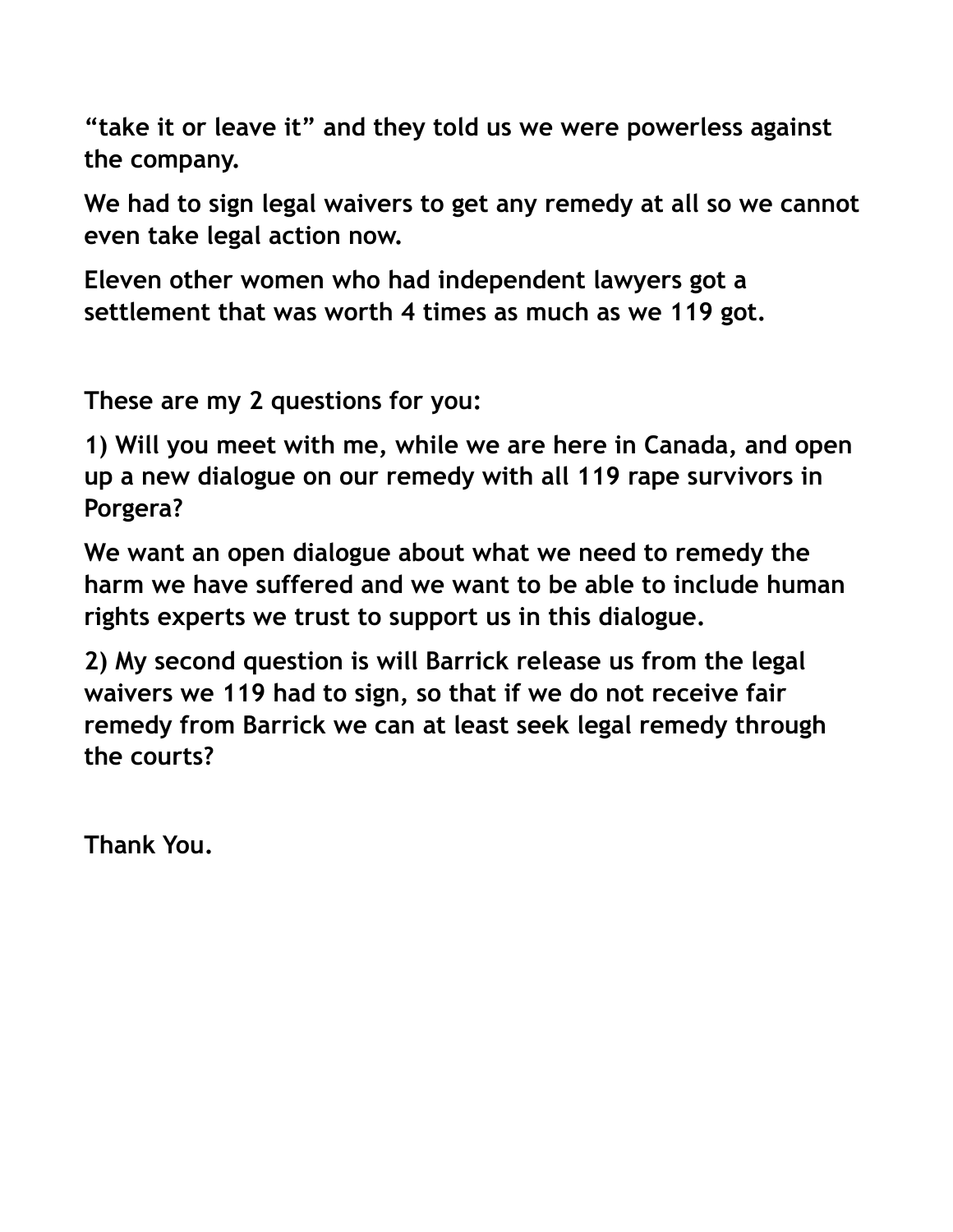**"take it or leave it" and they told us we were powerless against the company.** 

**We had to sign legal waivers to get any remedy at all so we cannot even take legal action now.** 

**Eleven other women who had independent lawyers got a settlement that was worth 4 times as much as we 119 got.** 

**These are my 2 questions for you:**

**1) Will you meet with me, while we are here in Canada, and open up a new dialogue on our remedy with all 119 rape survivors in Porgera?** 

**We want an open dialogue about what we need to remedy the harm we have suffered and we want to be able to include human rights experts we trust to support us in this dialogue.** 

**2) My second question is will Barrick release us from the legal waivers we 119 had to sign, so that if we do not receive fair remedy from Barrick we can at least seek legal remedy through the courts?**

**Thank You.**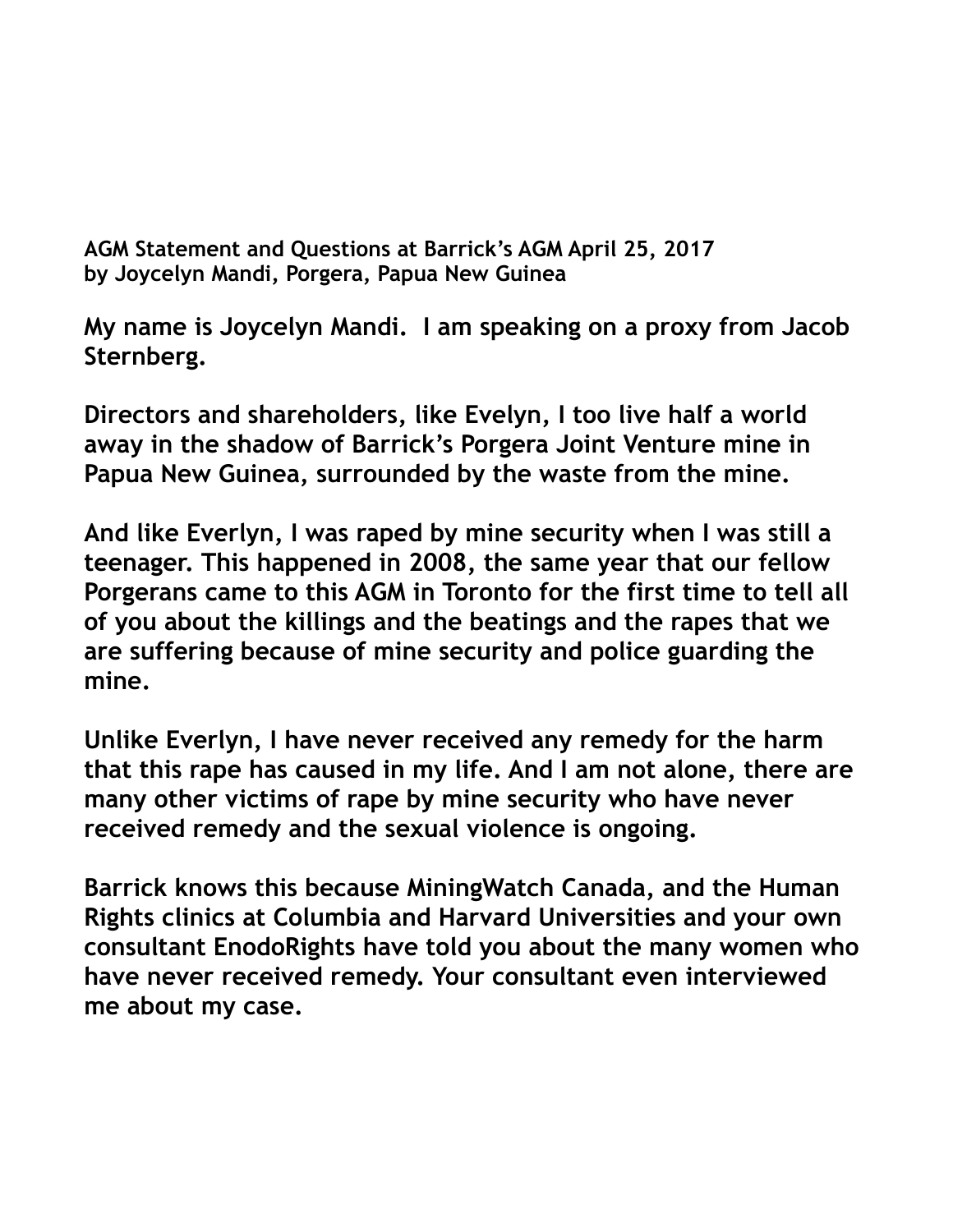**AGM Statement and Questions at Barrick's AGM April 25, 2017 by Joycelyn Mandi, Porgera, Papua New Guinea**

**My name is Joycelyn Mandi. I am speaking on a proxy from Jacob Sternberg.**

**Directors and shareholders, like Evelyn, I too live half a world away in the shadow of Barrick's Porgera Joint Venture mine in Papua New Guinea, surrounded by the waste from the mine.**

**And like Everlyn, I was raped by mine security when I was still a teenager. This happened in 2008, the same year that our fellow Porgerans came to this AGM in Toronto for the first time to tell all of you about the killings and the beatings and the rapes that we are suffering because of mine security and police guarding the mine.** 

**Unlike Everlyn, I have never received any remedy for the harm that this rape has caused in my life. And I am not alone, there are many other victims of rape by mine security who have never received remedy and the sexual violence is ongoing.** 

**Barrick knows this because MiningWatch Canada, and the Human Rights clinics at Columbia and Harvard Universities and your own consultant EnodoRights have told you about the many women who have never received remedy. Your consultant even interviewed me about my case.**